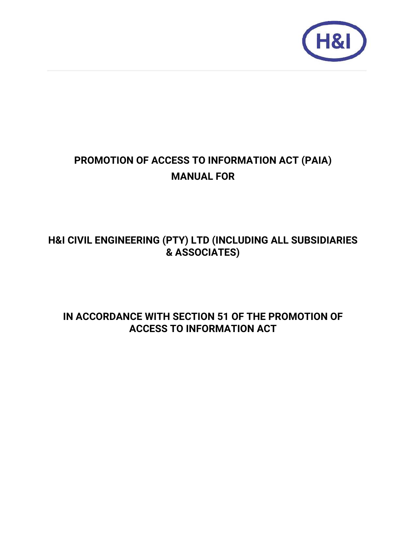

# **PROMOTION OF ACCESS TO INFORMATION ACT (PAIA) MANUAL FOR**

# **H&I CIVIL ENGINEERING (PTY) LTD (INCLUDING ALL SUBSIDIARIES & ASSOCIATES)**

## **IN ACCORDANCE WITH SECTION 51 OF THE PROMOTION OF ACCESS TO INFORMATION ACT**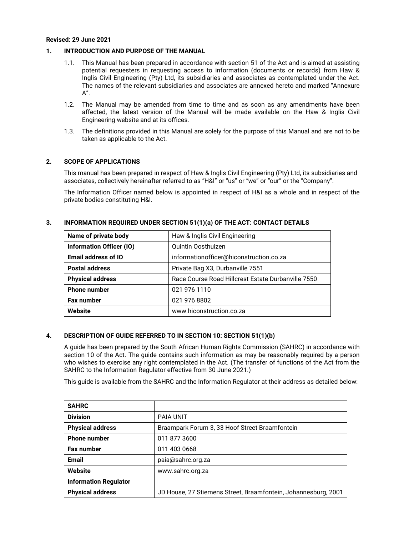#### **Revised: 29 June 2021**

#### **1. INTRODUCTION AND PURPOSE OF THE MANUAL**

- 1.1. This Manual has been prepared in accordance with section 51 of the Act and is aimed at assisting potential requesters in requesting access to information (documents or records) from Haw & Inglis Civil Engineering (Pty) Ltd, its subsidiaries and associates as contemplated under the Act. The names of the relevant subsidiaries and associates are annexed hereto and marked "Annexure  $A''$ .
- 1.2. The Manual may be amended from time to time and as soon as any amendments have been affected, the latest version of the Manual will be made available on the Haw & Inglis Civil Engineering website and at its offices.
- 1.3. The definitions provided in this Manual are solely for the purpose of this Manual and are not to be taken as applicable to the Act.

## **2. SCOPE OF APPLICATIONS**

This manual has been prepared in respect of Haw & Inglis Civil Engineering (Pty) Ltd, its subsidiaries and associates, collectively hereinafter referred to as "H&I" or "us" or "we" or "our" or the "Company".

The Information Officer named below is appointed in respect of H&I as a whole and in respect of the private bodies constituting H&I.

| Name of private body            | Haw & Inglis Civil Engineering                     |
|---------------------------------|----------------------------------------------------|
| <b>Information Officer (IO)</b> | Quintin Oosthuizen                                 |
| <b>Email address of IO</b>      | informationofficer@hiconstruction.co.za            |
| <b>Postal address</b>           | Private Bag X3, Durbanville 7551                   |
| <b>Physical address</b>         | Race Course Road Hillcrest Estate Durbanville 7550 |
| <b>Phone number</b>             | 021 976 1110                                       |
| <b>Fax number</b>               | 021 976 8802                                       |
| Website                         | www.hiconstruction.co.za                           |

#### **3. INFORMATION REQUIRED UNDER SECTION 51(1)(a) OF THE ACT: CONTACT DETAILS**

#### **4. DESCRIPTION OF GUIDE REFERRED TO IN SECTION 10: SECTION 51(1)(b)**

A guide has been prepared by the South African Human Rights Commission (SAHRC) in accordance with section 10 of the Act. The guide contains such information as may be reasonably required by a person who wishes to exercise any right contemplated in the Act. (The transfer of functions of the Act from the SAHRC to the Information Regulator effective from 30 June 2021.)

This guide is available from the SAHRC and the Information Regulator at their address as detailed below:

| <b>SAHRC</b>                 |                                                                |
|------------------------------|----------------------------------------------------------------|
| <b>Division</b>              | <b>PAIA UNIT</b>                                               |
| <b>Physical address</b>      | Braampark Forum 3, 33 Hoof Street Braamfontein                 |
| <b>Phone number</b>          | 011 877 3600                                                   |
| <b>Fax number</b>            | 011 403 0668                                                   |
| <b>Email</b>                 | paia@sahrc.org.za                                              |
| Website                      | www.sahrc.org.za                                               |
| <b>Information Regulator</b> |                                                                |
| <b>Physical address</b>      | JD House, 27 Stiemens Street, Braamfontein, Johannesburg, 2001 |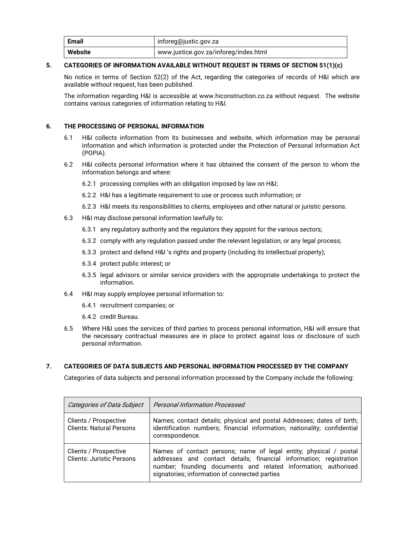| <b>Email</b> | inforeg@justic.gov.za                 |
|--------------|---------------------------------------|
| Website      | www.justice.gov.za/inforeg/index.html |

## **5. CATEGORIES OF INFORMATION AVAILABLE WITHOUT REQUEST IN TERMS OF SECTION 51(1)(c)**

 No notice in terms of Section 52(2) of the Act, regarding the categories of records of H&I which are available without request, has been published.

 The information regarding H&I is accessible at www.hiconstruction.co.za without request. The website contains various categories of information relating to H&I.

## **6. THE PROCESSING OF PERSONAL INFORMATION**

- 6.1 H&I collects information from its businesses and website, which information may be personal information and which information is protected under the Protection of Personal Information Act (POPIA).
- 6.2 H&I collects personal information where it has obtained the consent of the person to whom the information belongs and where:
	- 6.2.1 processing complies with an obligation imposed by law on H&I;
	- 6.2.2 H&I has a legitimate requirement to use or process such information; or
	- 6.2.3 H&I meets its responsibilities to clients, employees and other natural or juristic persons.
- 6.3 H&I may disclose personal information lawfully to:
	- 6.3.1 any regulatory authority and the regulators they appoint for the various sectors;
	- 6.3.2 comply with any regulation passed under the relevant legislation, or any legal process;
	- 6.3.3 protect and defend H&I 's rights and property (including its intellectual property);
	- 6.3.4 protect public interest; or
	- 6.3.5 legal advisors or similar service providers with the appropriate undertakings to protect the information.
- 6.4 H&I may supply employee personal information to:
	- 6.4.1 recruitment companies; or
	- 6.4.2 credit Bureau.
- 6.5 Where H&I uses the services of third parties to process personal information, H&I will ensure that the necessary contractual measures are in place to protect against loss or disclosure of such personal information.

## **7. CATEGORIES OF DATA SUBJECTS AND PERSONAL INFORMATION PROCESSED BY THE COMPANY**

Categories of data subjects and personal information processed by the Company include the following:

| <b>Categories of Data Subject</b>                         | <b>Personal Information Processed</b>                                                                                                                                                                                                                      |
|-----------------------------------------------------------|------------------------------------------------------------------------------------------------------------------------------------------------------------------------------------------------------------------------------------------------------------|
| Clients / Prospective<br><b>Clients: Natural Persons</b>  | Names; contact details; physical and postal Addresses; dates of birth;<br>identification numbers; financial information; nationality; confidential<br>correspondence.                                                                                      |
| Clients / Prospective<br><b>Clients: Juristic Persons</b> | Names of contact persons; name of legal entity; physical / postal<br>addresses and contact details; financial information; registration<br>number; founding documents and related information; authorised<br>signatories; information of connected parties |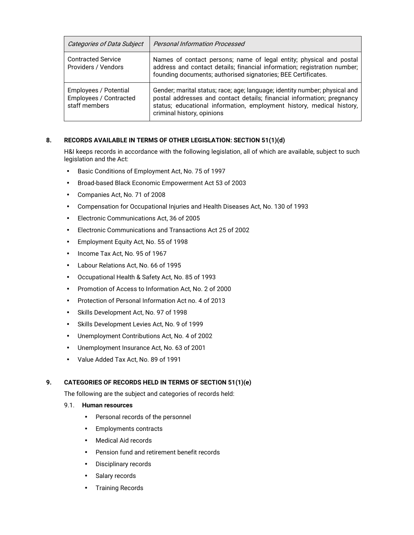| <b>Categories of Data Subject</b>                                | <b>Personal Information Processed</b>                                                                                                                                                                                                                       |
|------------------------------------------------------------------|-------------------------------------------------------------------------------------------------------------------------------------------------------------------------------------------------------------------------------------------------------------|
| <b>Contracted Service</b><br>Providers / Vendors                 | Names of contact persons; name of legal entity; physical and postal<br>address and contact details; financial information; registration number;  <br>founding documents; authorised signatories; BEE Certificates.                                          |
| Employees / Potential<br>Employees / Contracted<br>staff members | Gender; marital status; race; age; language; identity number; physical and<br>postal addresses and contact details; financial information; pregnancy<br>status; educational information, employment history, medical history,<br>criminal history, opinions |

## **8. RECORDS AVAILABLE IN TERMS OF OTHER LEGISLATION: SECTION 51(1)(d)**

 H&I keeps records in accordance with the following legislation, all of which are available, subject to such legislation and the Act:

- Basic Conditions of Employment Act, No. 75 of 1997
- Broad-based Black Economic Empowerment Act 53 of 2003
- Companies Act, No. 71 of 2008
- Compensation for Occupational Injuries and Health Diseases Act, No. 130 of 1993
- Electronic Communications Act, 36 of 2005
- Electronic Communications and Transactions Act 25 of 2002
- Employment Equity Act, No. 55 of 1998
- Income Tax Act, No. 95 of 1967
- Labour Relations Act, No. 66 of 1995
- Occupational Health & Safety Act, No. 85 of 1993
- Promotion of Access to Information Act, No. 2 of 2000
- Protection of Personal Information Act no. 4 of 2013
- Skills Development Act, No. 97 of 1998
- Skills Development Levies Act, No. 9 of 1999
- Unemployment Contributions Act, No. 4 of 2002
- Unemployment Insurance Act, No. 63 of 2001
- Value Added Tax Act, No. 89 of 1991

## **9. CATEGORIES OF RECORDS HELD IN TERMS OF SECTION 51(1)(e)**

The following are the subject and categories of records held:

- 9.1. **Human resources** 
	- Personal records of the personnel
	- Employments contracts
	- Medical Aid records
	- Pension fund and retirement benefit records
	- Disciplinary records
	- Salary records
	- Training Records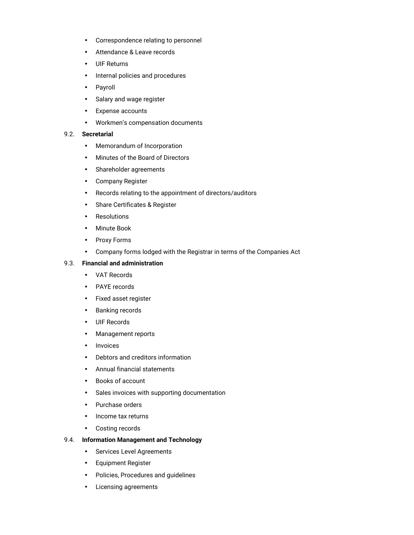- Correspondence relating to personnel
- Attendance & Leave records
- UIF Returns
- Internal policies and procedures
- Payroll
- Salary and wage register
- Expense accounts
- Workmen's compensation documents

#### 9.2. **Secretarial**

- Memorandum of Incorporation
- Minutes of the Board of Directors
- Shareholder agreements
- Company Register
- Records relating to the appointment of directors/auditors
- Share Certificates & Register
- Resolutions
- Minute Book
- Proxy Forms
- Company forms lodged with the Registrar in terms of the Companies Act

#### 9.3. **Financial and administration**

- VAT Records
- PAYE records
- Fixed asset register
- Banking records
- UIF Records
- Management reports
- Invoices
- Debtors and creditors information
- Annual financial statements
- Books of account
- Sales invoices with supporting documentation
- Purchase orders
- Income tax returns
- Costing records

#### 9.4. **Information Management and Technology**

- Services Level Agreements
- Equipment Register
- Policies, Procedures and guidelines
- Licensing agreements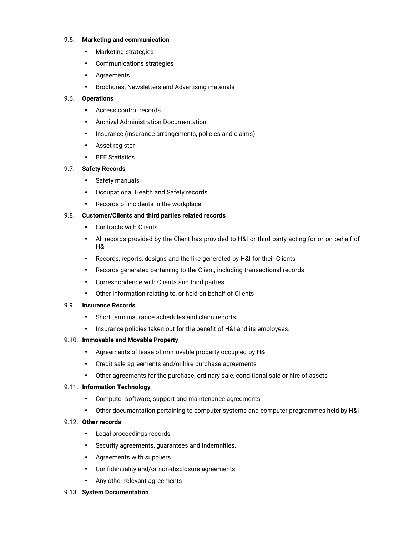#### 9.5. **Marketing and communication**

- Marketing strategies
- Communications strategies
- Agreements
- Brochures, Newsletters and Advertising materials

## 9.6. **Operations**

- Access control records
- Archival Administration Documentation
- Insurance (insurance arrangements, policies and claims)
- Asset register
- BEE Statistics

## 9.7. **Safety Records**

- Safety manuals
- Occupational Health and Safety records
- Records of incidents in the workplace

## 9.8. **Customer/Clients and third parties related records**

- Contracts with Clients
- All records provided by the Client has provided to H&I or third party acting for or on behalf of H&I
- Records, reports, designs and the like generated by H&I for their Clients
- Records generated pertaining to the Client, including transactional records
- Correspondence with Clients and third parties
- Other information relating to, or held on behalf of Clients

## 9.9. **Insurance Records**

- Short term insurance schedules and claim reports.
- Insurance policies taken out for the benefit of H&I and its employees.

## 9.10. **Immovable and Movable Property**

- Agreements of lease of immovable property occupied by H&I
- Credit sale agreements and/or hire purchase agreements
- Other agreements for the purchase, ordinary sale, conditional sale or hire of assets

## 9.11. **Information Technology**

- Computer software, support and maintenance agreements
- Other documentation pertaining to computer systems and computer programmes held by H&I

## 9.12. **Other records**

- Legal proceedings records
- Security agreements, guarantees and indemnities.
- Agreements with suppliers
- Confidentiality and/or non-disclosure agreements
- Any other relevant agreements

## 9.13. **System Documentation**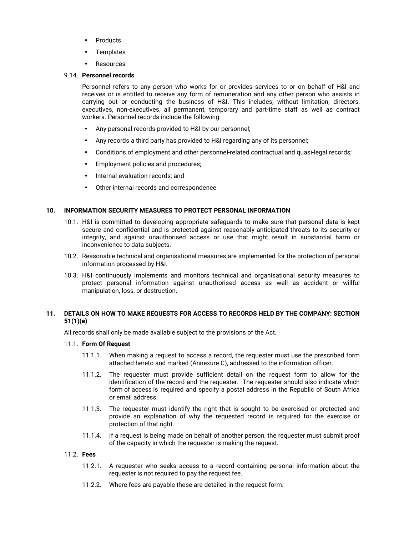- Products
- **Templates**
- Resources

#### 9.14. **Personnel records**

 Personnel refers to any person who works for or provides services to or on behalf of H&I and receives or is entitled to receive any form of remuneration and any other person who assists in carrying out or conducting the business of H&I. This includes, without limitation, directors, executives, non-executives, all permanent, temporary and part-time staff as well as contract workers. Personnel records include the following:

- Any personal records provided to H&I by our personnel;
- Any records a third party has provided to H&I regarding any of its personnel;
- Conditions of employment and other personnel-related contractual and quasi-legal records;
- Employment policies and procedures;
- Internal evaluation records; and
- Other internal records and correspondence

#### **10. INFORMATION SECURITY MEASURES TO PROTECT PERSONAL INFORMATION**

- 10.1. H&I is committed to developing appropriate safeguards to make sure that personal data is kept secure and confidential and is protected against reasonably anticipated threats to its security or integrity, and against unauthorised access or use that might result in substantial harm or inconvenience to data subjects.
- 10.2. Reasonable technical and organisational measures are implemented for the protection of personal information processed by H&I.
- 10.3. H&I continuously implements and monitors technical and organisational security measures to protect personal information against unauthorised access as well as accident or willful manipulation, loss, or destruction.

#### **11. DETAILS ON HOW TO MAKE REQUESTS FOR ACCESS TO RECORDS HELD BY THE COMPANY: SECTION 51(1)(e)**

All records shall only be made available subject to the provisions of the Act.

#### 11.1. **Form Of Request**

- 11.1.1. When making a request to access a record, the requester must use the prescribed form attached hereto and marked (Annexure C), addressed to the information officer.
- 11.1.2. The requester must provide sufficient detail on the request form to allow for the identification of the record and the requester. The requester should also indicate which form of access is required and specify a postal address in the Republic of South Africa or email address.
- 11.1.3. The requester must identify the right that is sought to be exercised or protected and provide an explanation of why the requested record is required for the exercise or protection of that right.
- 11.1.4. If a request is being made on behalf of another person, the requester must submit proof of the capacity in which the requester is making the request.

#### 11.2. **Fees**

- 11.2.1. A requester who seeks access to a record containing personal information about the requester is not required to pay the request fee.
- 11.2.2. Where fees are payable these are detailed in the request form.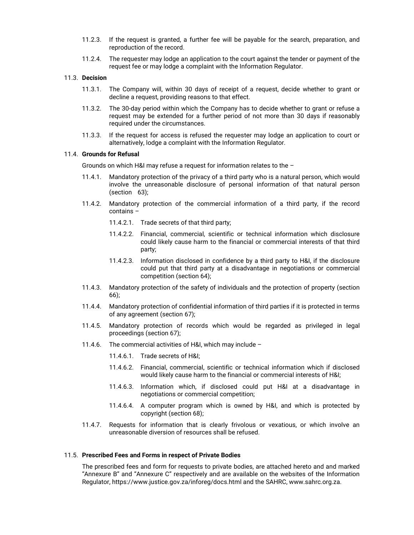- 11.2.3. If the request is granted, a further fee will be payable for the search, preparation, and reproduction of the record.
- 11.2.4. The requester may lodge an application to the court against the tender or payment of the request fee or may lodge a complaint with the Information Regulator.

## 11.3. **Decision**

- 11.3.1. The Company will, within 30 days of receipt of a request, decide whether to grant or decline a request, providing reasons to that effect.
- 11.3.2. The 30-day period within which the Company has to decide whether to grant or refuse a request may be extended for a further period of not more than 30 days if reasonably required under the circumstances.
- 11.3.3. If the request for access is refused the requester may lodge an application to court or alternatively, lodge a complaint with the Information Regulator.

## 11.4. **Grounds for Refusal**

Grounds on which H&I may refuse a request for information relates to the –

- 11.4.1. Mandatory protection of the privacy of a third party who is a natural person, which would involve the unreasonable disclosure of personal information of that natural person (section 63);
- 11.4.2. Mandatory protection of the commercial information of a third party, if the record contains –
	- 11.4.2.1. Trade secrets of that third party;
	- 11.4.2.2. Financial, commercial, scientific or technical information which disclosure could likely cause harm to the financial or commercial interests of that third party;
	- 11.4.2.3. Information disclosed in confidence by a third party to H&I, if the disclosure could put that third party at a disadvantage in negotiations or commercial competition (section 64);
- 11.4.3. Mandatory protection of the safety of individuals and the protection of property (section 66);
- 11.4.4. Mandatory protection of confidential information of third parties if it is protected in terms of any agreement (section 67);
- 11.4.5. Mandatory protection of records which would be regarded as privileged in legal proceedings (section 67);
- 11.4.6. The commercial activities of H&I, which may include
	- 11.4.6.1. Trade secrets of H&I;
	- 11.4.6.2. Financial, commercial, scientific or technical information which if disclosed would likely cause harm to the financial or commercial interests of H&I;
	- 11.4.6.3. Information which, if disclosed could put H&I at a disadvantage in negotiations or commercial competition;
	- 11.4.6.4. A computer program which is owned by H&I, and which is protected by copyright (section 68);
- 11.4.7. Requests for information that is clearly frivolous or vexatious, or which involve an unreasonable diversion of resources shall be refused.

#### 11.5. **Prescribed Fees and Forms in respect of Private Bodies**

The prescribed fees and form for requests to private bodies, are attached hereto and and marked "Annexure B" and "Annexure C" respectively and are available on the websites of the Information Regulator, https://www.justice.gov.za/inforeg/docs.html and the SAHRC, www.sahrc.org.za.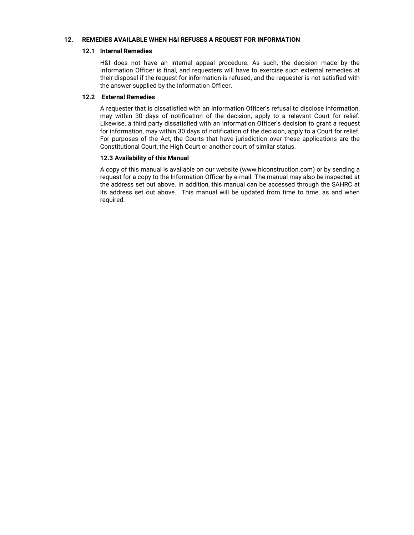#### **12. REMEDIES AVAILABLE WHEN H&I REFUSES A REQUEST FOR INFORMATION**

#### **12.1 Internal Remedies**

 H&I does not have an internal appeal procedure. As such, the decision made by the Information Officer is final, and requesters will have to exercise such external remedies at their disposal if the request for information is refused, and the requester is not satisfied with the answer supplied by the Information Officer.

#### **12.2 External Remedies**

 A requester that is dissatisfied with an Information Officer's refusal to disclose information, may within 30 days of notification of the decision, apply to a relevant Court for relief. Likewise, a third party dissatisfied with an Information Officer's decision to grant a request for information, may within 30 days of notification of the decision, apply to a Court for relief. For purposes of the Act, the Courts that have jurisdiction over these applications are the Constitutional Court, the High Court or another court of similar status.

## **12.3 Availability of this Manual**

A copy of this manual is available on our website (www.hiconstruction.com) or by sending a request for a copy to the Information Officer by e-mail. The manual may also be inspected at the address set out above. In addition, this manual can be accessed through the SAHRC at its address set out above. This manual will be updated from time to time, as and when required.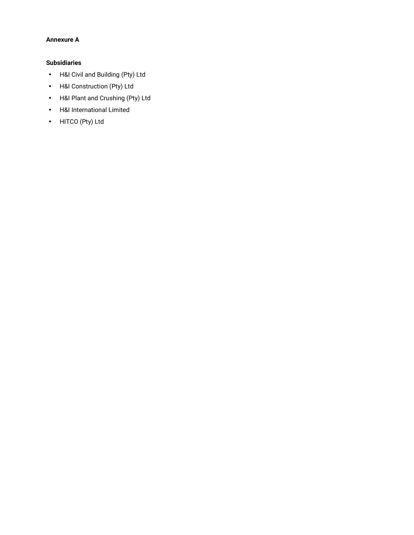## **Annexure A**

## **Subsidiaries**

- H&I Civil and Building (Pty) Ltd
- H&I Construction (Pty) Ltd
- H&I Plant and Crushing (Pty) Ltd
- H&I International Limited
- HITCO (Pty) Ltd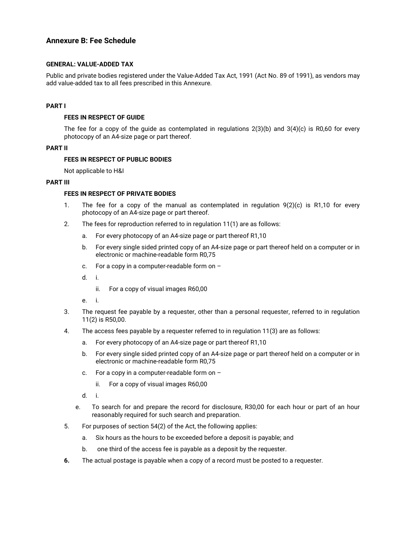## **Annexure B: Fee Schedule**

### **GENERAL: VALUE-ADDED TAX**

Public and private bodies registered under the Value-Added Tax Act, 1991 (Act No. 89 of 1991), as vendors may add value-added tax to all fees prescribed in this Annexure.

## **PART I**

#### **FEES IN RESPECT OF GUIDE**

The fee for a copy of the guide as contemplated in regulations 2(3)(b) and 3(4)(c) is R0,60 for every photocopy of an A4-size page or part thereof.

#### **PART II**

#### **FEES IN RESPECT OF PUBLIC BODIES**

Not applicable to H&I

#### **PART III**

## **FEES IN RESPECT OF PRIVATE BODIES**

- 1. The fee for a copy of the manual as contemplated in regulation  $9(2)(c)$  is R1,10 for every photocopy of an A4-size page or part thereof.
- 2. The fees for reproduction referred to in regulation 11(1) are as follows:
	- a. For every photocopy of an A4-size page or part thereof R1,10
	- b. For every single sided printed copy of an A4-size page or part thereof held on a computer or in electronic or machine-readable form R0,75
	- c. For a copy in a computer-readable form on –
	- d. i.
		- ii. For a copy of visual images R60,00
	- e. i.
- 3. The request fee payable by a requester, other than a personal requester, referred to in regulation 11(2) is R50,00.
- 4. The access fees payable by a requester referred to in regulation 11(3) are as follows:
	- a. For every photocopy of an A4-size page or part thereof R1,10
	- b. For every single sided printed copy of an A4-size page or part thereof held on a computer or in electronic or machine-readable form R0,75
	- c. For a copy in a computer-readable form on
		- ii. For a copy of visual images R60,00
	- d. i.
	- e. To search for and prepare the record for disclosure, R30,00 for each hour or part of an hour reasonably required for such search and preparation.
- 5. For purposes of section 54(2) of the Act, the following applies:
	- a. Six hours as the hours to be exceeded before a deposit is payable; and
	- b. one third of the access fee is payable as a deposit by the requester.
- **6.** The actual postage is payable when a copy of a record must be posted to a requester.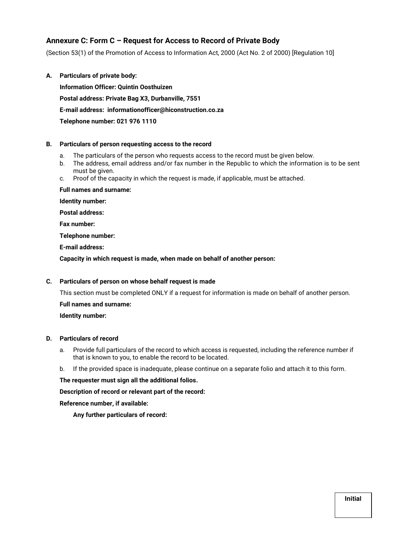## **Annexure C: Form C – Request for Access to Record of Private Body**

(Section 53(1) of the Promotion of Access to Information Act, 2000 (Act No. 2 of 2000) [Regulation 10]

**A. Particulars of private body: Information Officer: Quintin Oosthuizen Postal address: Private Bag X3, Durbanville, 7551 E-mail address: informationofficer@hiconstruction.co.za Telephone number: 021 976 1110** 

#### **B. Particulars of person requesting access to the record**

- a. The particulars of the person who requests access to the record must be given below.
- b. The address, email address and/or fax number in the Republic to which the information is to be sent must be given.
- c. Proof of the capacity in which the request is made, if applicable, must be attached.

**Full names and surname:** 

**Identity number:** 

**Postal address:** 

**Fax number:** 

**Telephone number:** 

**E-mail address:** 

**Capacity in which request is made, when made on behalf of another person:** 

## **C. Particulars of person on whose behalf request is made**

This section must be completed ONLY if a request for information is made on behalf of another person.

**Full names and surname:** 

**Identity number:** 

## **D. Particulars of record**

- a. Provide full particulars of the record to which access is requested, including the reference number if that is known to you, to enable the record to be located.
- b. If the provided space is inadequate, please continue on a separate folio and attach it to this form.

**The requester must sign all the additional folios.** 

**Description of record or relevant part of the record:** 

**Reference number, if available:** 

 **Any further particulars of record:**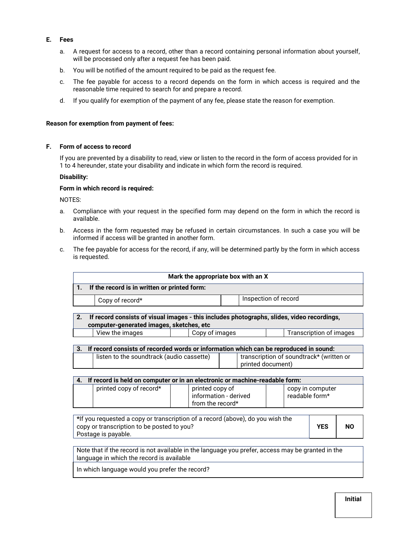## **E. Fees**

- a. A request for access to a record, other than a record containing personal information about yourself, will be processed only after a request fee has been paid.
- b. You will be notified of the amount required to be paid as the request fee.
- c. The fee payable for access to a record depends on the form in which access is required and the reasonable time required to search for and prepare a record.
- d. If you qualify for exemption of the payment of any fee, please state the reason for exemption.

#### **Reason for exemption from payment of fees:**

#### **F. Form of access to record**

If you are prevented by a disability to read, view or listen to the record in the form of access provided for in 1 to 4 hereunder, state your disability and indicate in which form the record is required.

### **Disability:**

#### **Form in which record is required:**

NOTES:

- a. Compliance with your request in the specified form may depend on the form in which the record is available.
- b. Access in the form requested may be refused in certain circumstances. In such a case you will be informed if access will be granted in another form.
- c. The fee payable for access for the record, if any, will be determined partly by the form in which access is requested.

|    | Mark the appropriate box with an X                                                         |                      |                                                               |  |                                    |  |
|----|--------------------------------------------------------------------------------------------|----------------------|---------------------------------------------------------------|--|------------------------------------|--|
| 1. | If the record is in written or printed form:                                               |                      |                                                               |  |                                    |  |
|    | Copy of record*                                                                            | Inspection of record |                                                               |  |                                    |  |
| 2. | If record consists of visual images - this includes photographs, slides, video recordings, |                      |                                                               |  |                                    |  |
|    | computer-generated images, sketches, etc                                                   |                      |                                                               |  |                                    |  |
|    | View the images                                                                            | Copy of images       |                                                               |  | Transcription of images            |  |
|    |                                                                                            |                      |                                                               |  |                                    |  |
| 3. | If record consists of recorded words or information which can be reproduced in sound:      |                      |                                                               |  |                                    |  |
|    | listen to the soundtrack (audio cassette)                                                  |                      | transcription of soundtrack* (written or<br>printed document) |  |                                    |  |
|    |                                                                                            |                      |                                                               |  |                                    |  |
| 4. | If record is held on computer or in an electronic or machine-readable form:                |                      |                                                               |  |                                    |  |
|    | printed copy of record*                                                                    |                      | printed copy of<br>information - derived<br>from the record*  |  | copy in computer<br>readable form* |  |

| *If you requested a copy or transcription of a record (above), do you wish the |            |           |
|--------------------------------------------------------------------------------|------------|-----------|
| copy or transcription to be posted to you?                                     | <b>YES</b> | <b>NO</b> |
| Postage is payable.                                                            |            |           |

Note that if the record is not available in the language you prefer, access may be granted in the language in which the record is available

In which language would you prefer the record?